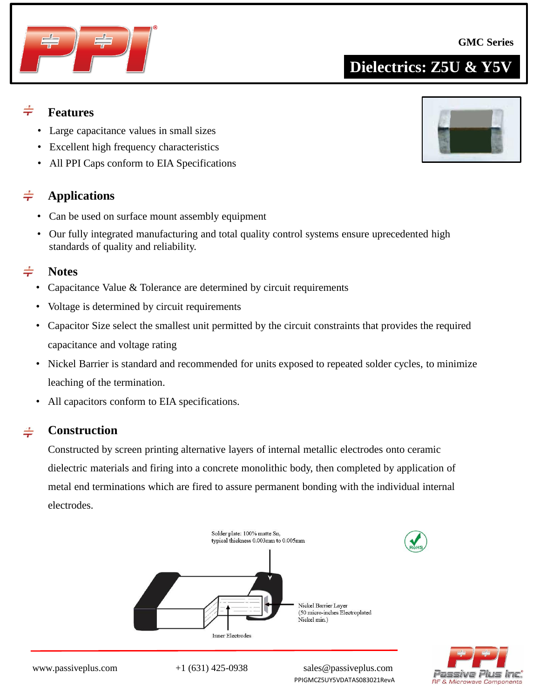

## **Dielectrics: Z5U & Y5V**

### $\div$ **Features**

- Large capacitance values in small sizes
- Excellent high frequency characteristics
- All PPI Caps conform to EIA Specifications

### $\div$ **Applications**

- Can be used on surface mount assembly equipment
- Our fully integrated manufacturing and total quality control systems ensure uprecedented high standards of quality and reliability.

#### $\div$ **Notes**

- Capacitance Value & Tolerance are determined by circuit requirements
- Voltage is determined by circuit requirements
- Capacitor Size select the smallest unit permitted by the circuit constraints that provides the required capacitance and voltage rating
- Nickel Barrier is standard and recommended for units exposed to repeated solder cycles, to minimize leaching of the termination.
- All capacitors conform to EIA specifications.

#### $\div$ **Construction**

Constructed by screen printing alternative layers of internal metallic electrodes onto ceramic dielectric materials and firing into a concrete monolithic body, then completed by application of metal end terminations which are fired to assure permanent bonding with the individual internal electrodes.





www.passiveplus.com +1 (631) 425-0938 sales@passiveplus.com PPIGMCZ5UY5VDATAS083021RevA

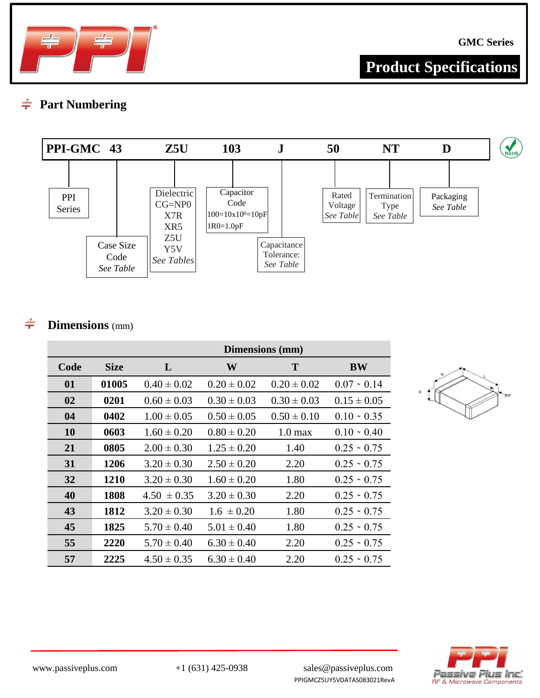

**Product Specifications**

### **Part Numbering**  $\div$



### **Dimensions** (mm)  $\div$

|           |             |                 |                 | Dimensions (mm)   |                   |
|-----------|-------------|-----------------|-----------------|-------------------|-------------------|
| Code      | <b>Size</b> | L               | W               | T                 | <b>BW</b>         |
| 01        | 01005       | $0.40 \pm 0.02$ | $0.20 \pm 0.02$ | $0.20 \pm 0.02$   | $0.07 - 0.14$     |
| 02        | 0201        | $0.60 \pm 0.03$ | $0.30 \pm 0.03$ | $0.30 \pm 0.03$   | $0.15 \pm 0.05$   |
| 04        | 0402        | $1.00 \pm 0.05$ | $0.50 \pm 0.05$ | $0.50 \pm 0.10$   | $0.10 \cdot 0.35$ |
| <b>10</b> | 0603        | $1.60 \pm 0.20$ | $0.80 \pm 0.20$ | $1.0 \text{ max}$ | $0.10 \cdot 0.40$ |
| 21        | 0805        | $2.00 \pm 0.30$ | $1.25 \pm 0.20$ | 1.40              | $0.25 \cdot 0.75$ |
| 31        | 1206        | $3.20 \pm 0.30$ | $2.50 \pm 0.20$ | 2.20              | $0.25 \cdot 0.75$ |
| 32        | 1210        | $3.20 \pm 0.30$ | $1.60 \pm 0.20$ | 1.80              | $0.25 \cdot 0.75$ |
| 40        | 1808        | $4.50 \pm 0.35$ | $3.20 \pm 0.30$ | 2.20              | $0.25 \sim 0.75$  |
| 43        | 1812        | $3.20 \pm 0.30$ | $1.6 \pm 0.20$  | 1.80              | $0.25 \cdot 0.75$ |
| 45        | 1825        | $5.70 \pm 0.40$ | $5.01 \pm 0.40$ | 1.80              | $0.25 \cdot 0.75$ |
| 55        | 2220        | $5.70 \pm 0.40$ | $6.30 \pm 0.40$ | 2.20              | $0.25 \cdot 0.75$ |
| 57        | 2225        | $4.50 \pm 0.35$ | $6.30 \pm 0.40$ | 2.20              | $0.25 \cdot 0.75$ |



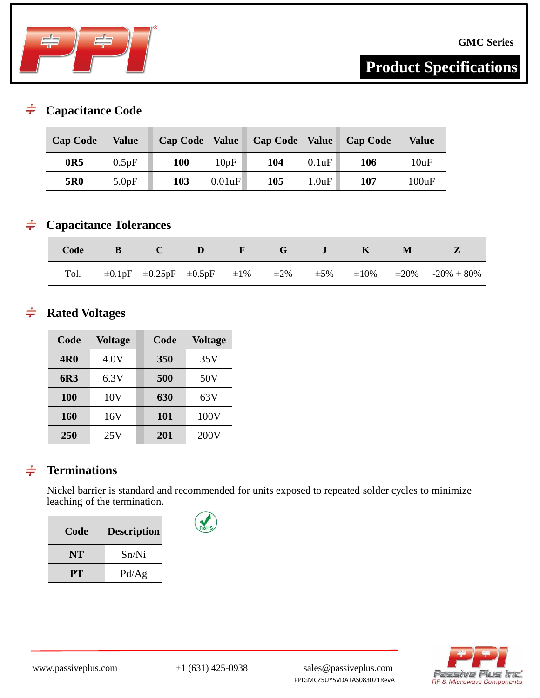

# **Product Specifications**

#### $\div$ **Capacitance Code**

| <b>Cap Code</b> | Value | <b>Cap Code</b> | <b>Value</b> | <b>Cap Code Value</b> |       | <b>Cap Code</b> | <b>Value</b> |
|-----------------|-------|-----------------|--------------|-----------------------|-------|-----------------|--------------|
| 0R5             | 0.5pF | <b>100</b>      | 10pF         | 104                   | 0.1uF | 106             | 10uF         |
| 5R <sub>0</sub> | 5.0pF | 103             | 0.01uF       | 105                   | 1.0uF | 107             | 100uF        |

### **Capacitance Tolerances**  $\div$

|  | Code B C D F G J K M |  |  |  |                                                                                                          |
|--|----------------------|--|--|--|----------------------------------------------------------------------------------------------------------|
|  |                      |  |  |  | Tol. $\pm 0.1pF$ $\pm 0.25pF$ $\pm 0.5pF$ $\pm 1\%$ $\pm 2\%$ $\pm 5\%$ $\pm 10\%$ $\pm 20\%$ -20% + 80% |

### **Rated Voltages**  $\div$

| Code       | <b>Voltage</b> | Code       | <b>Voltage</b> |
|------------|----------------|------------|----------------|
| <b>4R0</b> | 4.0V           | 350        | 35V            |
| 6R3        | 6.3V           | 500        | 50V            |
| 100        | 10V            | 630        | 63V            |
| 160        | 16V            | 101        | 100V           |
| 250        | 25V            | <b>201</b> | 200V           |

### **Terminations**  $\div$

Nickel barrier is standard and recommended for units exposed to repeated solder cycles to minimize leaching of the termination.

| Code | <b>Description</b> |
|------|--------------------|
| NT   | Sn/Ni              |
| PT.  | Pd/Ag              |

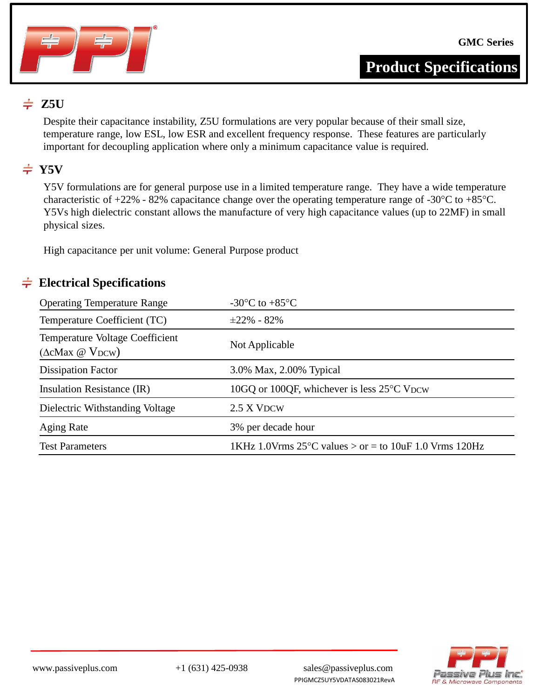

### $\div$  Z5U

Despite their capacitance instability, Z5U formulations are very popular because of their small size, temperature range, low ESL, low ESR and excellent frequency response. These features are particularly important for decoupling application where only a minimum capacitance value is required.

## $\div$  Y5V

Y5V formulations are for general purpose use in a limited temperature range. They have a wide temperature characteristic of +22% - 82% capacitance change over the operating temperature range of -30°C to +85°C. Y5Vs high dielectric constant allows the manufacture of very high capacitance values (up to 22MF) in small physical sizes.

High capacitance per unit volume: General Purpose product

### **Electrical Specifications**  $\div$

| <b>Operating Temperature Range</b>                              | -30 $\mathrm{^{\circ}C}$ to +85 $\mathrm{^{\circ}C}$               |
|-----------------------------------------------------------------|--------------------------------------------------------------------|
| Temperature Coefficient (TC)                                    | $\pm 22\%$ - 82%                                                   |
| Temperature Voltage Coefficient<br>$(\Delta c$ Max @ $V_{DCW})$ | Not Applicable                                                     |
| <b>Dissipation Factor</b>                                       | 3.0% Max, 2.00% Typical                                            |
| Insulation Resistance (IR)                                      | 10GQ or 100QF, whichever is less 25°C VDCW                         |
| Dielectric Withstanding Voltage                                 | 2.5 X VDCW                                                         |
| <b>Aging Rate</b>                                               | 3% per decade hour                                                 |
| <b>Test Parameters</b>                                          | 1KHz 1.0Vrms $25^{\circ}$ C values $>$ or = to 10uF 1.0 Vrms 120Hz |

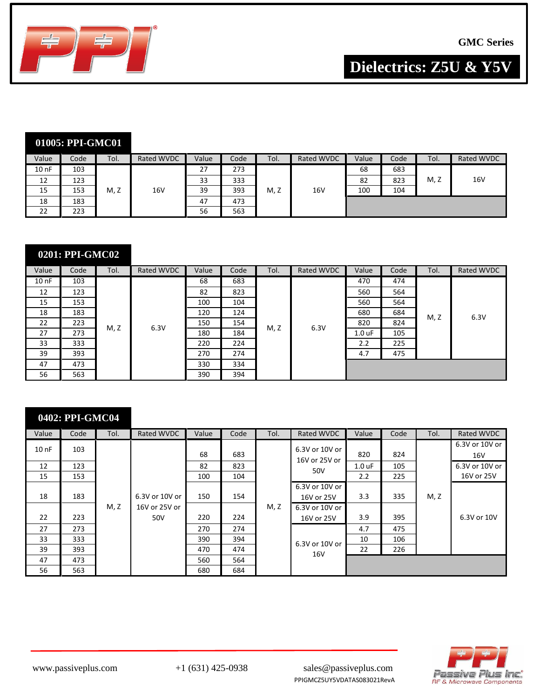

**Dielectrics: Z5U & Y5V**

|          | 01005: PPI-GMC01 |      |            |       |      |      |                   |       |      |      |                 |
|----------|------------------|------|------------|-------|------|------|-------------------|-------|------|------|-----------------|
| Value    | Code             | Tol. | Rated WVDC | Value | Code | Tol. | <b>Rated WVDC</b> | Value | Code | Tol. | Rated WVDC      |
| $100$ nF | 103              |      |            | 27    | 273  |      |                   | 68    | 683  |      |                 |
| 12       | 123              |      |            | 33    | 333  |      |                   | 82    | 823  | M, Z | 16 <sub>V</sub> |
| 15       | 153              | M, Z | 16V        | 39    | 393  | M, Z | 16V               | 100   | 104  |      |                 |
| 18       | 183              |      |            | 47    | 473  |      |                   |       |      |      |                 |
| 22       | 223              |      |            | 56    | 563  |      |                   |       |      |      |                 |

### **0201: PPI-GMC02**

| Value    | Code | Tol. | Rated WVDC | Value | Code | Tol. | Rated WVDC | Value    | Code | Tol. | Rated WVDC |
|----------|------|------|------------|-------|------|------|------------|----------|------|------|------------|
| $100$ nF | 103  |      |            | 68    | 683  |      |            | 470      | 474  |      |            |
| 12       | 123  |      |            | 82    | 823  |      |            | 560      | 564  |      |            |
| 15       | 153  |      |            | 100   | 104  |      |            | 560      | 564  |      |            |
| 18       | 183  |      |            | 120   | 124  |      |            | 680      | 684  | M, Z | 6.3V       |
| 22       | 223  | M, Z | 6.3V       | 150   | 154  | M, Z | 6.3V       | 820      | 824  |      |            |
| 27       | 273  |      |            | 180   | 184  |      |            | $1.0$ uF | 105  |      |            |
| 33       | 333  |      |            | 220   | 224  |      |            | 2.2      | 225  |      |            |
| 39       | 393  |      |            | 270   | 274  |      |            | 4.7      | 475  |      |            |
| 47       | 473  |      |            | 330   | 334  |      |            |          |      |      |            |
| 56       | 563  |      |            | 390   | 394  |      |            |          |      |      |            |

### **0402: PPI-GMC04**

| Value    | Code | Tol. | Rated WVDC     | Value | Code | Tol. | Rated WVDC                      | Value    | Code | Tol. | Rated WVDC            |
|----------|------|------|----------------|-------|------|------|---------------------------------|----------|------|------|-----------------------|
| $100$ nF | 103  |      |                | 68    | 683  |      | 6.3V or 10V or<br>16V or 25V or | 820      | 824  |      | 6.3V or 10V or<br>16V |
| 12       | 123  |      |                | 82    | 823  |      | 50V                             | $1.0$ uF | 105  |      | 6.3V or 10V or        |
| 15       | 153  |      |                | 100   | 104  |      |                                 | 2.2      | 225  |      | 16V or 25V            |
| 18       | 183  |      | 6.3V or 10V or | 150   | 154  |      | 6.3V or 10V or<br>16V or 25V    | 3.3      | 335  | M, Z |                       |
|          |      | M, Z | 16V or 25V or  |       |      | M, Z | 6.3V or 10V or                  |          |      |      |                       |
| 22       | 223  |      | 50V            | 220   | 224  |      | 16V or 25V                      | 3.9      | 395  |      | 6.3V or 10V           |
| 27       | 273  |      |                | 270   | 274  |      |                                 | 4.7      | 475  |      |                       |
| 33       | 333  |      |                | 390   | 394  |      | 6.3V or 10V or                  | 10       | 106  |      |                       |
| 39       | 393  |      |                | 470   | 474  |      | 16V                             | 22       | 226  |      |                       |
| 47       | 473  |      |                | 560   | 564  |      |                                 |          |      |      |                       |
| 56       | 563  |      |                | 680   | 684  |      |                                 |          |      |      |                       |

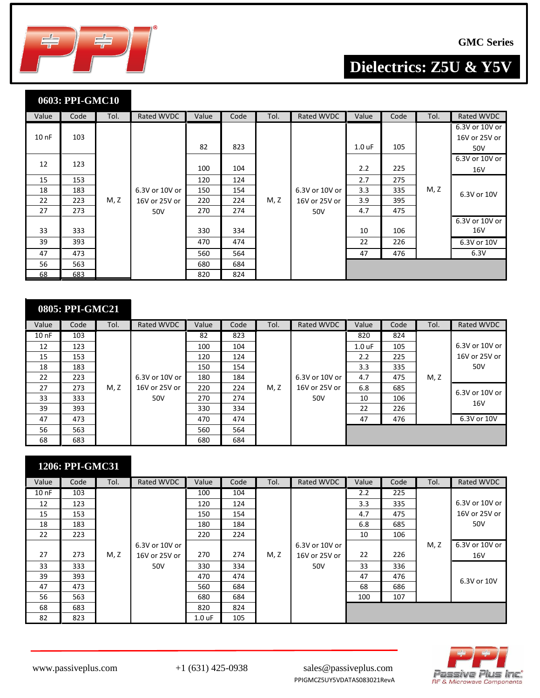

# **Dielectrics: Z5U & Y5V**

|                 | 0603: PPI-GMC10 |      |                |       |      |      |                |          |      |      |                                        |
|-----------------|-----------------|------|----------------|-------|------|------|----------------|----------|------|------|----------------------------------------|
| Value           | Code            | Tol. | Rated WVDC     | Value | Code | Tol. | Rated WVDC     | Value    | Code | Tol. | Rated WVDC                             |
| 10 <sub>0</sub> | 103             |      |                | 82    | 823  |      |                | $1.0$ uF | 105  |      | 6.3V or 10V or<br>16V or 25V or<br>50V |
| 12              | 123             |      |                | 100   | 104  |      |                | 2.2      | 225  |      | 6.3V or 10V or<br>16V                  |
| 15              | 153             |      |                | 120   | 124  |      |                | 2.7      | 275  |      |                                        |
| 18              | 183             |      | 6.3V or 10V or | 150   | 154  |      | 6.3V or 10V or | 3.3      | 335  | M, Z | 6.3V or 10V                            |
| 22              | 223             | M, Z | 16V or 25V or  | 220   | 224  | M, Z | 16V or 25V or  | 3.9      | 395  |      |                                        |
| 27              | 273             |      | 50V            | 270   | 274  |      | 50V            | 4.7      | 475  |      |                                        |
| 33              | 333             |      |                | 330   | 334  |      |                | 10       | 106  |      | 6.3V or 10V or<br>16V                  |
| 39              | 393             |      |                | 470   | 474  |      |                | 22       | 226  |      | 6.3V or 10V                            |
| 47              | 473             |      |                | 560   | 564  |      |                | 47       | 476  |      | 6.3V                                   |
| 56              | 563             |      |                | 680   | 684  |      |                |          |      |      |                                        |
| 68              | 683             |      |                | 820   | 824  |      |                |          |      |      |                                        |

|          | 0805: PPI-GMC21 |      |                |       |      |      |                |          |      |      |                |
|----------|-----------------|------|----------------|-------|------|------|----------------|----------|------|------|----------------|
| Value    | Code            | Tol. | Rated WVDC     | Value | Code | Tol. | Rated WVDC     | Value    | Code | Tol. | Rated WVDC     |
| $100$ nF | 103             |      |                | 82    | 823  |      |                | 820      | 824  |      |                |
| 12       | 123             |      |                | 100   | 104  |      |                | $1.0$ uF | 105  |      | 6.3V or 10V or |
| 15       | 153             |      |                | 120   | 124  |      |                | 2.2      | 225  |      | 16V or 25V or  |
| 18       | 183             |      |                | 150   | 154  |      |                | 3.3      | 335  |      | 50V            |
| 22       | 223             |      | 6.3V or 10V or | 180   | 184  |      | 6.3V or 10V or | 4.7      | 475  | M, Z |                |
| 27       | 273             | M, Z | 16V or 25V or  | 220   | 224  | M, Z | 16V or 25V or  | 6.8      | 685  |      | 6.3V or 10V or |
| 33       | 333             |      | 50V            | 270   | 274  |      | 50V            | 10       | 106  |      | 16V            |
| 39       | 393             |      |                | 330   | 334  |      |                | 22       | 226  |      |                |
| 47       | 473             |      |                | 470   | 474  |      |                | 47       | 476  |      | 6.3V or 10V    |
| 56       | 563             |      |                | 560   | 564  |      |                |          |      |      |                |
| 68       | 683             |      |                | 680   | 684  |      |                |          |      |      |                |

|  | 1206: PPI-GMC31 |
|--|-----------------|
|  |                 |

| Value    | Code | Tol. | Rated WVDC     | Value    | Code | Tol. | Rated WVDC     | Value | Code | Tol. | Rated WVDC     |
|----------|------|------|----------------|----------|------|------|----------------|-------|------|------|----------------|
| $100$ nF | 103  |      |                | 100      | 104  |      |                | 2.2   | 225  |      |                |
| 12       | 123  |      |                | 120      | 124  |      |                | 3.3   | 335  |      | 6.3V or 10V or |
| 15       | 153  |      |                | 150      | 154  |      |                | 4.7   | 475  |      | 16V or 25V or  |
| 18       | 183  |      |                | 180      | 184  |      |                | 6.8   | 685  |      | 50V            |
| 22       | 223  |      |                | 220      | 224  |      |                | 10    | 106  |      |                |
|          |      |      | 6.3V or 10V or |          |      |      | 6.3V or 10V or |       |      | M, Z | 6.3V or 10V or |
| 27       | 273  | M, Z | 16V or 25V or  | 270      | 274  | M, Z | 16V or 25V or  | 22    | 226  |      | 16V            |
| 33       | 333  |      | 50V            | 330      | 334  |      | 50V            | 33    | 336  |      |                |
| 39       | 393  |      |                | 470      | 474  |      |                | 47    | 476  |      | 6.3V or 10V    |
| 47       | 473  |      |                | 560      | 684  |      |                | 68    | 686  |      |                |
| 56       | 563  |      |                | 680      | 684  |      |                | 100   | 107  |      |                |
| 68       | 683  |      |                | 820      | 824  |      |                |       |      |      |                |
| 82       | 823  |      |                | $1.0$ uF | 105  |      |                |       |      |      |                |

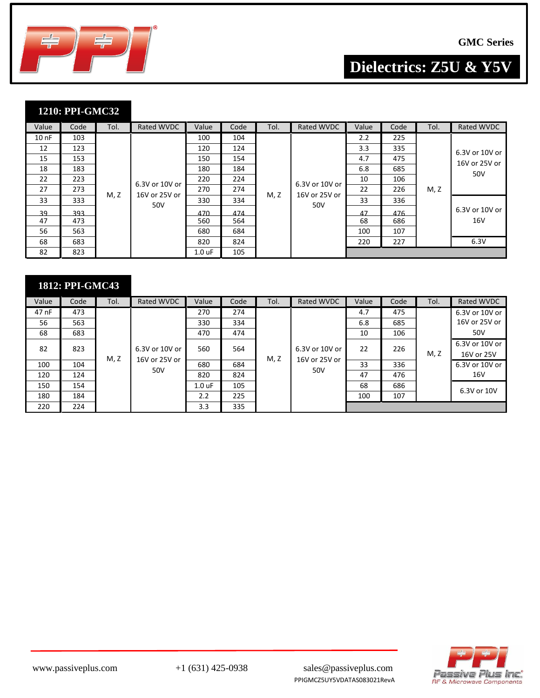

**GMC Series**

**Dielectrics: Z5U & Y5V**

### **1210: PPI-GMC32**

| Value    | Code | Tol. | Rated WVDC     | Value            | Code | Tol. | Rated WVDC                             | Value            | Code | Tol. | Rated WVDC            |  |                |
|----------|------|------|----------------|------------------|------|------|----------------------------------------|------------------|------|------|-----------------------|--|----------------|
| $100$ nF | 103  |      |                | 100              | 104  |      |                                        | $2.2\phantom{0}$ | 225  |      |                       |  |                |
| 12       | 123  |      |                |                  |      | 120  | 124                                    |                  |      | 3.3  | 335                   |  | 6.3V or 10V or |
| 15       | 153  |      |                | 150              | 154  |      | 6.3V or 10V or<br>16V or 25V or<br>50V | 4.7              | 475  | M, Z | 16V or 25V or         |  |                |
| 18       | 183  |      |                | 180              | 184  |      |                                        | 6.8              | 685  |      | 50V                   |  |                |
| 22       | 223  |      | 6.3V or 10V or | 220              | 224  |      |                                        | 10               | 106  |      |                       |  |                |
| 27       | 273  | M, Z | 16V or 25V or  | 270              | 274  | M, Z |                                        | 22               | 226  |      |                       |  |                |
| 33       | 333  |      | 50V            | 330              | 334  |      |                                        | 33               | 336  |      | 6.3V or 10V or<br>16V |  |                |
| 39       | 393  |      |                | 470              | 474  |      |                                        | 47               | 476  |      |                       |  |                |
| 47       | 473  |      |                | 560              | 564  |      |                                        | 68               | 686  |      |                       |  |                |
| 56       | 563  |      |                | 680              | 684  |      |                                        | 100              | 107  |      |                       |  |                |
| 68       | 683  |      |                | 820              | 824  |      |                                        | 220              | 227  |      | 6.3V                  |  |                |
| 82       | 823  |      |                | $1.0 \text{ uF}$ | 105  |      |                                        |                  |      |      |                       |  |                |

| 1812: PPI-GMC43 |      |      |                   |                   |      |                |                      |       |      |                |                 |  |
|-----------------|------|------|-------------------|-------------------|------|----------------|----------------------|-------|------|----------------|-----------------|--|
| Value           | Code | Tol. | <b>Rated WVDC</b> | Value             | Code | Tol.           | <b>Rated WVDC</b>    | Value | Code | Tol.           | Rated WVDC      |  |
| 47 nF           | 473  |      |                   | 270               | 274  |                |                      | 4.7   | 475  |                | 6.3V or 10V or  |  |
| 56              | 563  |      |                   | 330               | 334  |                |                      | 6.8   | 685  |                | 16V or 25V or   |  |
| 68              | 683  |      |                   | 470               | 474  |                |                      | 10    | 106  |                | 50V             |  |
| 82              | 823  |      | 6.3V or 10V or    | 560<br>564        |      | 6.3V or 10V or | 22                   | 226   |      | 6.3V or 10V or |                 |  |
|                 |      | M, Z | 16V or 25V or     |                   |      | M, Z           | 16V or 25V or<br>50V |       |      | M, Z           | 16V or 25V      |  |
| 100             | 104  |      | 50V               | 680               | 684  |                |                      | 33    | 336  |                | 6.3V or 10V or  |  |
| 120             | 124  |      |                   | 820               | 824  |                |                      | 47    | 476  |                | 16 <sub>V</sub> |  |
| 150             | 154  |      |                   | 1.0 <sub>uF</sub> | 105  |                |                      | 68    | 686  |                | 6.3V or 10V     |  |
| 180             | 184  |      |                   | 2.2               | 225  |                |                      | 100   | 107  |                |                 |  |
| 220             | 224  |      |                   | 3.3               | 335  |                |                      |       |      |                |                 |  |

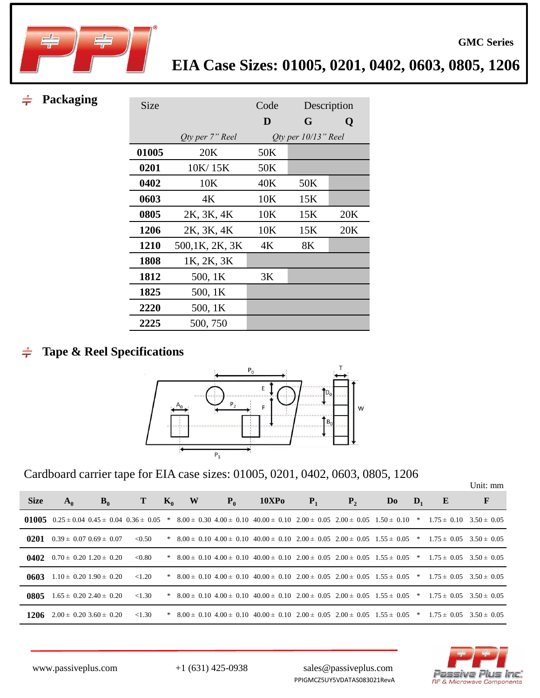

 $\div$ 

| Packaging |             |                 |      |                     |             |
|-----------|-------------|-----------------|------|---------------------|-------------|
|           | <b>Size</b> |                 | Code |                     | Description |
|           |             |                 | D    | G                   | Q           |
|           |             | Qty per 7" Reel |      | Qty per 10/13" Reel |             |
|           | 01005       | 20K             | 50K  |                     |             |
|           | 0201        | 10K/15K         | 50K  |                     |             |
|           | 0402        | 10K             | 40K  | 50K                 |             |
|           | 0603        | 4K              | 10K  | 15K                 |             |
|           | 0805        | 2K, 3K, 4K      | 10K  | 15K                 | 20K         |
|           | 1206        | 2K, 3K, 4K      | 10K  | 15K                 | 20K         |
|           | 1210        | 500,1K, 2K, 3K  | 4K   | 8K                  |             |
|           | 1808        | 1K, 2K, 3K      |      |                     |             |
|           | 1812        | 500, 1K         | 3K   |                     |             |
|           | 1825        | 500, 1K         |      |                     |             |
|           | 2220        | 500, 1K         |      |                     |             |
|           | 2225        | 500, 750        |      |                     |             |

### **Tape & Reel Specifications**  $\div$



Cardboard carrier tape for EIA case sizes: 01005, 0201, 0402, 0603, 0805, 1206

**GMC Series**

| <b>Size</b> | $A_0$                                       | $B_0$                           | т         | $K_0$ | W | $P_0$ | <b>10XPo</b>                                                                                                                                   | $P_1$ | $P_{2}$ | Do | $\mathbf{D}_1$ | E                               | F               |
|-------------|---------------------------------------------|---------------------------------|-----------|-------|---|-------|------------------------------------------------------------------------------------------------------------------------------------------------|-------|---------|----|----------------|---------------------------------|-----------------|
|             |                                             |                                 |           |       |   |       | 01005 0.25 ± 0.04 0.45 ± 0.04 0.36 ± 0.05 * 8.00 ± 0.30 4.00 ± 0.10 40.00 ± 0.10 2.00 ± 0.05 2.00 ± 0.05 1.50 ± 0.10 * 1.75 ± 0.10 3.50 ± 0.05 |       |         |    |                |                                 |                 |
| 0201        | $0.39 \pm 0.07$ $0.69 \pm 0.07$             |                                 | ${<}0.50$ |       |   |       | * $8.00 \pm 0.10$ $4.00 \pm 0.10$ $40.00 \pm 0.10$ $2.00 \pm 0.05$ $2.00 \pm 0.05$ $1.55 \pm 0.05$ *                                           |       |         |    |                | $1.75 \pm 0.05$ $3.50 \pm 0.05$ |                 |
|             | <b>0402</b> $0.70 \pm 0.20$ 1.20 $\pm 0.20$ |                                 | < 0.80    |       |   |       | * $8.00 \pm 0.10$ $4.00 \pm 0.10$ $40.00 \pm 0.10$ $2.00 \pm 0.05$ $2.00 \pm 0.05$ $1.55 \pm 0.05$ *                                           |       |         |    |                | $1.75 \pm 0.05$                 | $3.50 \pm 0.05$ |
| 0603        | $1.10 \pm 0.20$ $1.90 \pm 0.20$             |                                 | < 1.20    |       |   |       | $*$ 8.00 ± 0.10 4.00 ± 0.10 40.00 ± 0.10 2.00 ± 0.05 2.00 ± 0.05 1.55 ± 0.05 $*$                                                               |       |         |    |                | $1.75 \pm 0.05$ $3.50 \pm 0.05$ |                 |
| 0805        |                                             | $1.65 \pm 0.20$ 2.40 $\pm$ 0.20 | < 1.30    |       |   |       | $*$ 8.00 ± 0.10 4.00 ± 0.10 40.00 ± 0.10 2.00 ± 0.05 2.00 ± 0.05 1.55 ± 0.05 $*$                                                               |       |         |    |                | $1.75 \pm 0.05$                 | $3.50 \pm 0.05$ |
| 1206        | $2.00 \pm 0.20$ 3.60 $\pm$ 0.20             |                                 | < 1.30    |       |   |       | * $8.00 \pm 0.10$ $4.00 \pm 0.10$ $40.00 \pm 0.10$ $2.00 \pm 0.05$ $2.00 \pm 0.05$ $1.55 \pm 0.05$ *                                           |       |         |    |                | $1.75 \pm 0.05$                 | $3.50 \pm 0.05$ |

PPIGMCZ5UY5VDATAS083021RevA



www.passiveplus.com +1 (631) 425-0938 sales@passiveplus.com